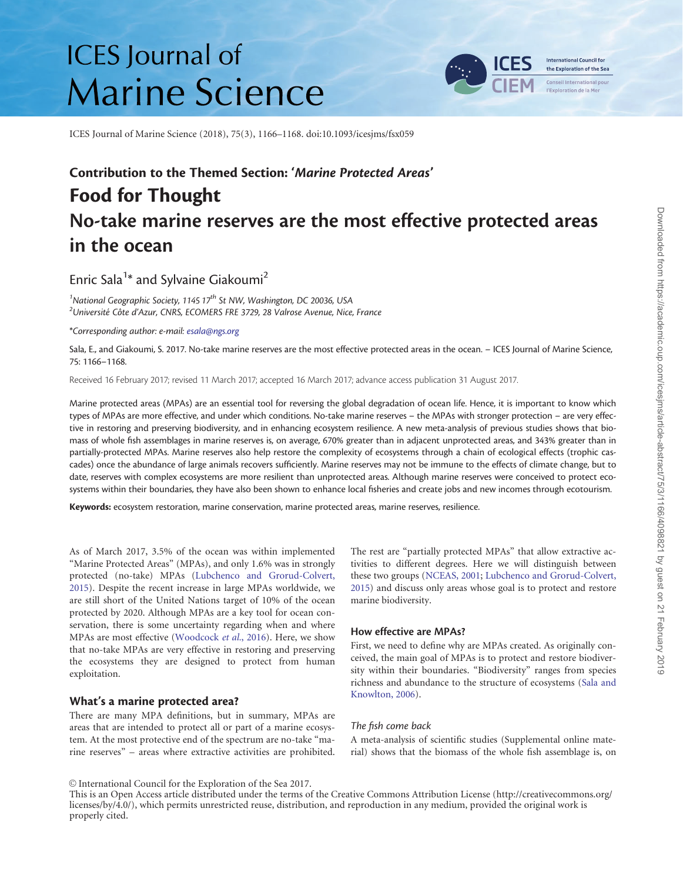# **ICES** Journal of **Marine Science**



ICES Journal of Marine Science (2018), 75(3), 1166–1168. doi:10.1093/icesjms/fsx059

# Contribution to the Themed Section: 'Marine Protected Areas' Food for Thought No-take marine reserves are the most effective protected areas in the ocean

Enric Sala<sup>1\*</sup> and Sylvaine Giakoumi<sup>2</sup>

<sup>1</sup>National Geographic Society, 1145 17<sup>th</sup> St NW, Washington, DC 20036, USA<br><sup>2</sup>Université Côte d'Azur, CNPS, ECOMEPS EPE 3729, 28 Valrose Avenue, Nice  $2$ Université Côte d'Azur, CNRS, ECOMERS FRE 3729, 28 Valrose Avenue, Nice, France

\*Corresponding author: e-mail: [esala@ngs.org](mailto:esala@ngs.org)

Sala, E., and Giakoumi, S. 2017. No-take marine reserves are the most effective protected areas in the ocean. – ICES Journal of Marine Science, 75: 1166–1168.

Received 16 February 2017; revised 11 March 2017; accepted 16 March 2017; advance access publication 31 August 2017.

Marine protected areas (MPAs) are an essential tool for reversing the global degradation of ocean life. Hence, it is important to know which types of MPAs are more effective, and under which conditions. No-take marine reserves – the MPAs with stronger protection – are very effective in restoring and preserving biodiversity, and in enhancing ecosystem resilience. A new meta-analysis of previous studies shows that biomass of whole fish assemblages in marine reserves is, on average, 670% greater than in adjacent unprotected areas, and 343% greater than in partially-protected MPAs. Marine reserves also help restore the complexity of ecosystems through a chain of ecological effects (trophic cascades) once the abundance of large animals recovers sufficiently. Marine reserves may not be immune to the effects of climate change, but to date, reserves with complex ecosystems are more resilient than unprotected areas. Although marine reserves were conceived to protect ecosystems within their boundaries, they have also been shown to enhance local fisheries and create jobs and new incomes through ecotourism.

Keywords: ecosystem restoration, marine conservation, marine protected areas, marine reserves, resilience.

As of March 2017, 3.5% of the ocean was within implemented "Marine Protected Areas" (MPAs), and only 1.6% was in strongly protected (no-take) MPAs [\(Lubchenco and Grorud-Colvert,](#page-2-0) [2015\)](#page-2-0). Despite the recent increase in large MPAs worldwide, we are still short of the United Nations target of 10% of the ocean protected by 2020. Although MPAs are a key tool for ocean conservation, there is some uncertainty regarding when and where MPAs are most effective [\(Woodcock](#page-2-0) et al., 2016). Here, we show that no-take MPAs are very effective in restoring and preserving the ecosystems they are designed to protect from human exploitation.

#### What's a marine protected area?

There are many MPA definitions, but in summary, MPAs are areas that are intended to protect all or part of a marine ecosystem. At the most protective end of the spectrum are no-take "marine reserves" – areas where extractive activities are prohibited. The rest are "partially protected MPAs" that allow extractive activities to different degrees. Here we will distinguish between these two groups ([NCEAS, 2001;](#page-2-0) [Lubchenco and Grorud-Colvert,](#page-2-0) [2015\)](#page-2-0) and discuss only areas whose goal is to protect and restore marine biodiversity.

## How effective are MPAs?

First, we need to define why are MPAs created. As originally conceived, the main goal of MPAs is to protect and restore biodiversity within their boundaries. "Biodiversity" ranges from species richness and abundance to the structure of ecosystems ([Sala and](#page-2-0) [Knowlton, 2006](#page-2-0)).

#### The fish come back

A meta-analysis of scientific studies (Supplemental online material) shows that the biomass of the whole fish assemblage is, on

V<sup>C</sup> International Council for the Exploration of the Sea 2017.

This is an Open Access article distributed under the terms of the Creative Commons Attribution License [\(http://creativecommons.org/](Undefined namespace prefix
xmlXPathCompOpEval: parameter error
xmlXPathEval: evaluation failed
) [licenses/by/4.0/\)](Undefined namespace prefix
xmlXPathCompOpEval: parameter error
xmlXPathEval: evaluation failed
), which permits unrestricted reuse, distribution, and reproduction in any medium, provided the original work is properly cited.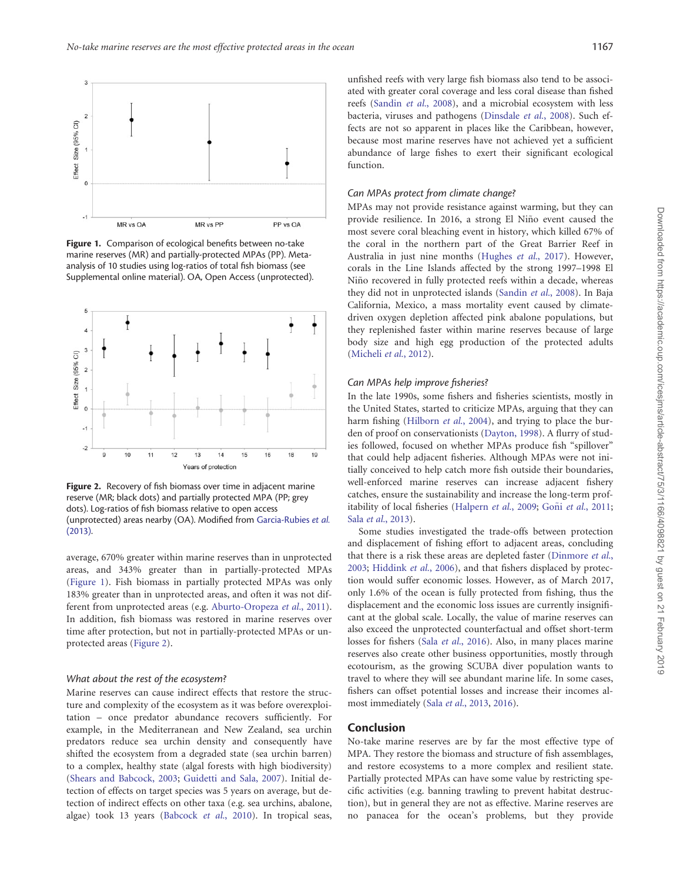

Figure 1. Comparison of ecological benefits between no-take marine reserves (MR) and partially-protected MPAs (PP). Metaanalysis of 10 studies using log-ratios of total fish biomass (see Supplemental online material). OA, Open Access (unprotected).



Figure 2. Recovery of fish biomass over time in adjacent marine reserve (MR; black dots) and partially protected MPA (PP; grey dots). Log-ratios of fish biomass relative to open access (unprotected) areas nearby (OA). Modified from [Garcia-Rubies](#page-2-0) et al. [\(2013\).](#page-2-0)

average, 670% greater within marine reserves than in unprotected areas, and 343% greater than in partially-protected MPAs (Figure 1). Fish biomass in partially protected MPAs was only 183% greater than in unprotected areas, and often it was not different from unprotected areas (e.g. [Aburto-Oropeza](#page-2-0) et al., 2011). In addition, fish biomass was restored in marine reserves over time after protection, but not in partially-protected MPAs or unprotected areas (Figure 2).

#### What about the rest of the ecosystem?

Marine reserves can cause indirect effects that restore the structure and complexity of the ecosystem as it was before overexploitation – once predator abundance recovers sufficiently. For example, in the Mediterranean and New Zealand, sea urchin predators reduce sea urchin density and consequently have shifted the ecosystem from a degraded state (sea urchin barren) to a complex, healthy state (algal forests with high biodiversity) ([Shears and Babcock, 2003](#page-2-0); [Guidetti and Sala, 2007](#page-2-0)). Initial detection of effects on target species was 5 years on average, but detection of indirect effects on other taxa (e.g. sea urchins, abalone, algae) took 13 years ([Babcock](#page-2-0) et al., 2010). In tropical seas,

unfished reefs with very large fish biomass also tend to be associated with greater coral coverage and less coral disease than fished reefs [\(Sandin](#page-2-0) et al., 2008), and a microbial ecosystem with less bacteria, viruses and pathogens [\(Dinsdale](#page-2-0) et al., 2008). Such effects are not so apparent in places like the Caribbean, however, because most marine reserves have not achieved yet a sufficient abundance of large fishes to exert their significant ecological function.

### Can MPAs protect from climate change?

MPAs may not provide resistance against warming, but they can provide resilience. In 2016, a strong El Nino event caused the ~ most severe coral bleaching event in history, which killed 67% of the coral in the northern part of the Great Barrier Reef in Australia in just nine months ([Hughes](#page-2-0) et al., 2017). However, corals in the Line Islands affected by the strong 1997–1998 El Niño recovered in fully protected reefs within a decade, whereas they did not in unprotected islands ([Sandin](#page-2-0) et al., 2008). In Baja California, Mexico, a mass mortality event caused by climatedriven oxygen depletion affected pink abalone populations, but they replenished faster within marine reserves because of large body size and high egg production of the protected adults [\(Micheli](#page-2-0) et al., 2012).

#### Can MPAs help improve fisheries?

In the late 1990s, some fishers and fisheries scientists, mostly in the United States, started to criticize MPAs, arguing that they can harm fishing [\(Hilborn](#page-2-0) et al., 2004), and trying to place the burden of proof on conservationists ([Dayton, 1998](#page-2-0)). A flurry of studies followed, focused on whether MPAs produce fish "spillover" that could help adjacent fisheries. Although MPAs were not initially conceived to help catch more fish outside their boundaries, well-enforced marine reserves can increase adjacent fishery catches, ensure the sustainability and increase the long-term prof-itability of local fisheries [\(Halpern](#page-2-0) et al., 2009; [Go](#page-2-0)ñi et al.[, 2011;](#page-2-0) Sala et al.[, 2013](#page-2-0)).

Some studies investigated the trade-offs between protection and displacement of fishing effort to adjacent areas, concluding that there is a risk these areas are depleted faster ([Dinmore](#page-2-0) et al., [2003;](#page-2-0) [Hiddink](#page-2-0) et al., 2006), and that fishers displaced by protection would suffer economic losses. However, as of March 2017, only 1.6% of the ocean is fully protected from fishing, thus the displacement and the economic loss issues are currently insignificant at the global scale. Locally, the value of marine reserves can also exceed the unprotected counterfactual and offset short-term losses for fishers (Sala et al.[, 2016](#page-2-0)). Also, in many places marine reserves also create other business opportunities, mostly through ecotourism, as the growing SCUBA diver population wants to travel to where they will see abundant marine life. In some cases, fishers can offset potential losses and increase their incomes almost immediately (Sala et al.[, 2013](#page-2-0), [2016\)](#page-2-0).

#### Conclusion

No-take marine reserves are by far the most effective type of MPA. They restore the biomass and structure of fish assemblages, and restore ecosystems to a more complex and resilient state. Partially protected MPAs can have some value by restricting specific activities (e.g. banning trawling to prevent habitat destruction), but in general they are not as effective. Marine reserves are no panacea for the ocean's problems, but they provide